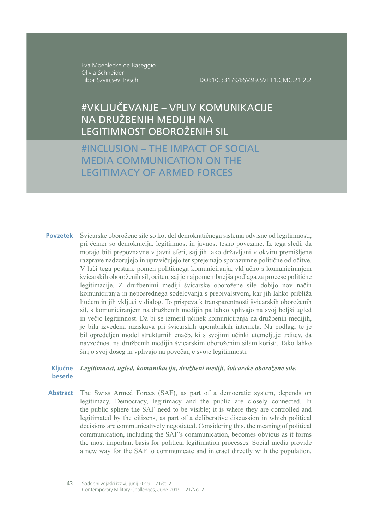Eva Moehlecke de Baseggio Olivia Schneider Tibor Szvircsev Tresch

DOI:10.33179/BSV.99.SVI.11.CMC.21.2.2

# #VKLJUČEVANJE - VPLIV KOMUNIKACIJE NA DRUŽBENIH MEDIJIH NA LEGITIMNOST OBOROŽENIH SIL

#INCLUSION - THE IMPACT OF SOCIAL **MEDIA COMMUNICATION ON THE LEGITIMACY OF ARMED FORCES** 

Povzetek Švicarske oborožene sile so kot del demokratičnega sistema odvisne od legitimnosti, pri čemer so demokracija, legitimnost in javnost tesno povezane. Iz tega sledi, da morajo biti prepoznavne v javni sferi, saj jih tako državljani v okviru premišljene razprave nadzorujejo in upravičujejo ter sprejemajo sporazumne politične odločitve. V luči tega postane pomen političnega komuniciranja, vključno s komuniciranjem švicarskih oboroženih sil, očiten, saj je najpomembnejša podlaga za procese politične legitimacije. Z družbenimi mediji švicarske oborožene sile dobijo nov način komuniciranja in neposrednega sodelovanja s prebivalstvom, kar jih lahko približa ljudem in jih vključi v dialog. To prispeva k transparentnosti švicarskih oboroženih sil, s komuniciranjem na družbenih medijih pa lahko vplivajo na svoj boljši ugled in večjo legitimnost. Da bi se izmeril učinek komuniciranja na družbenih medijih, je bila izvedena raziskava pri švicarskih uporabnikih interneta. Na podlagi te je bil opredeljen model strukturnih enačb, ki s svojimi učinki utemeljuje trditev, da navzočnost na družbenih medijih švicarskim oboroženim silam koristi. Tako lahko širijo svoj doseg in vplivajo na povečanje svoje legitimnosti.

#### **Kliučne** Legitimnost, ugled, komunikacija, družbeni mediji, švicarske oborožene sile. hesede

**Abstract** The Swiss Armed Forces (SAF), as part of a democratic system, depends on legitimacy. Democracy, legitimacy and the public are closely connected. In the public sphere the SAF need to be visible; it is where they are controlled and legitimated by the citizens, as part of a deliberative discussion in which political decisions are communicatively negotiated. Considering this, the meaning of political communication, including the SAF's communication, becomes obvious as it forms the most important basis for political legitimation processes. Social media provide a new way for the SAF to communicate and interact directly with the population.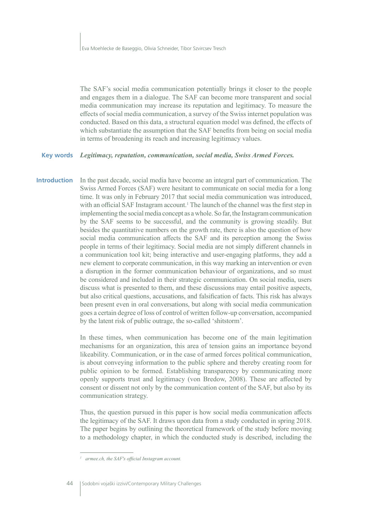The SAF's social media communication potentially brings it closer to the people and engages them in a dialogue. The SAF can become more transparent and social media communication may increase its reputation and legitimacy. To measure the effects of social media communication, a survey of the Swiss internet population was conducted. Based on this data, a structural equation model was defined, the effects of which substantiate the assumption that the SAF benefits from being on social media in terms of broadening its reach and increasing legitimacy values.

#### **Key words** Legitimacy, reputation, communication, social media, Swiss Armed Forces.

**Introduction** In the past decade, social media have become an integral part of communication. The Swiss Armed Forces (SAF) were hesitant to communicate on social media for a long time. It was only in February 2017 that social media communication was introduced. with an official SAF Instagram account.<sup>1</sup> The launch of the channel was the first step in implementing the social media concept as a whole. So far, the Instagram communication by the SAF seems to be successful, and the community is growing steadily. But besides the quantitative numbers on the growth rate, there is also the question of how social media communication affects the SAF and its perception among the Swiss people in terms of their legitimacy. Social media are not simply different channels in a communication tool kit; being interactive and user-engaging platforms, they add a new element to corporate communication, in this way marking an intervention or even a disruption in the former communication behaviour of organizations, and so must be considered and included in their strategic communication. On social media, users discuss what is presented to them, and these discussions may entail positive aspects, but also critical questions, accusations, and falsification of facts. This risk has always been present even in oral conversations, but along with social media communication goes a certain degree of loss of control of written follow-up conversation, accompanied by the latent risk of public outrage, the so-called 'shitstorm'.

> In these times, when communication has become one of the main legitimation mechanisms for an organization, this area of tension gains an importance beyond likeability. Communication, or in the case of armed forces political communication, is about conveying information to the public sphere and thereby creating room for public opinion to be formed. Establishing transparency by communicating more openly supports trust and legitimacy (von Bredow, 2008). These are affected by consent or dissent not only by the communication content of the SAF, but also by its communication strategy.

> Thus, the question pursued in this paper is how social media communication affects the legitimacy of the SAF. It draws upon data from a study conducted in spring 2018. The paper begins by outlining the theoretical framework of the study before moving to a methodology chapter, in which the conducted study is described, including the

<sup>&</sup>lt;sup>1</sup> armee.ch. the SAF's official Instagram account.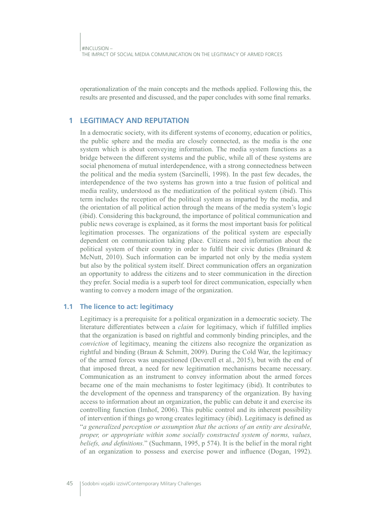operationalization of the main concepts and the methods applied. Following this, the results are presented and discussed, and the paper concludes with some final remarks.

#### **LEGITIMACY AND REPUTATION** 1

In a democratic society, with its different systems of economy, education or politics, the public sphere and the media are closely connected, as the media is the one system which is about conveying information. The media system functions as a bridge between the different systems and the public, while all of these systems are social phenomena of mutual interdependence, with a strong connectedness between the political and the media system (Sarcinelli, 1998). In the past few decades, the interdependence of the two systems has grown into a true fusion of political and media reality, understood as the mediatization of the political system (ibid). This term includes the reception of the political system as imparted by the media, and the orientation of all political action through the means of the media system's logic (ibid). Considering this background, the importance of political communication and public news coverage is explained, as it forms the most important basis for political legitimation processes. The organizations of the political system are especially dependent on communication taking place. Citizens need information about the political system of their country in order to fulfil their civic duties (Brainard & McNutt, 2010). Such information can be imparted not only by the media system but also by the political system itself. Direct communication offers an organization an opportunity to address the citizens and to steer communication in the direction they prefer. Social media is a superb tool for direct communication, especially when wanting to convey a modern image of the organization.

#### 1.1 The licence to act: legitimacy

Legitimacy is a prerequisite for a political organization in a democratic society. The literature differentiates between a *claim* for legitimacy, which if fulfilled implies that the organization is based on rightful and commonly binding principles, and the *conviction* of legitimacy, meaning the citizens also recognize the organization as rightful and binding (Braun & Schmitt, 2009). During the Cold War, the legitimacy of the armed forces was unquestioned (Deverell et al., 2015), but with the end of that imposed threat, a need for new legitimation mechanisms became necessary. Communication as an instrument to convey information about the armed forces became one of the main mechanisms to foster legitimacy (ibid). It contributes to the development of the openness and transparency of the organization. By having access to information about an organization, the public can debate it and exercise its controlling function (Imhof, 2006). This public control and its inherent possibility of intervention if things go wrong creates legitimacy (ibid). Legitimacy is defined as "a generalized perception or assumption that the actions of an entity are desirable, proper, or appropriate within some socially constructed system of norms, values, beliefs, and definitions." (Suchmann, 1995, p 574). It is the belief in the moral right of an organization to possess and exercise power and influence (Dogan, 1992).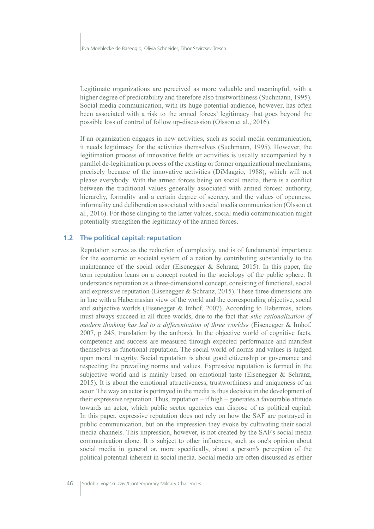Legitimate organizations are perceived as more valuable and meaningful, with a higher degree of predictability and therefore also trustworthiness (Suchmann, 1995). Social media communication, with its huge potential audience, however, has often been associated with a risk to the armed forces' legitimacy that goes beyond the possible loss of control of follow up-discussion (Olsson et al., 2016).

If an organization engages in new activities, such as social media communication, it needs legitimacy for the activities themselves (Suchmann, 1995). However, the legitimation process of innovative fields or activities is usually accompanied by a parallel de-legitimation process of the existing or former organizational mechanisms, precisely because of the innovative activities (DiMaggio, 1988), which will not please everybody. With the armed forces being on social media, there is a conflict between the traditional values generally associated with armed forces: authority, hierarchy, formality and a certain degree of secrecy, and the values of openness, informality and deliberation associated with social media communication (Olsson et al., 2016). For those clinging to the latter values, social media communication might potentially strengthen the legitimacy of the armed forces.

### 1.2 The political capital: reputation

Reputation serves as the reduction of complexity, and is of fundamental importance for the economic or societal system of a nation by contributing substantially to the maintenance of the social order (Eisenegger  $&$  Schranz, 2015). In this paper, the term reputation leans on a concept rooted in the sociology of the public sphere. It understands reputation as a three-dimensional concept, consisting of functional, social and expressive reputation (Eisenegger & Schranz, 2015). These three dimensions are in line with a Habermasian view of the world and the corresponding objective, social and subjective worlds (Eisenegger & Imhof, 2007). According to Habermas, actors must always succeed in all three worlds, due to the fact that *»the rationalization of* modern thinking has led to a differentiation of three worlds« (Eisenegger & Imhof, 2007, p 245, translation by the authors). In the objective world of cognitive facts, competence and success are measured through expected performance and manifest themselves as functional reputation. The social world of norms and values is judged upon moral integrity. Social reputation is about good citizenship or governance and respecting the prevailing norms and values. Expressive reputation is formed in the subjective world and is mainly based on emotional taste (Eisenegger & Schranz, 2015). It is about the emotional attractiveness, trustworthiness and uniqueness of an actor. The way an actor is portrayed in the media is thus decisive in the development of their expressive reputation. Thus, reputation  $-$  if high  $-$  generates a favourable attitude towards an actor, which public sector agencies can dispose of as political capital. In this paper, expressive reputation does not rely on how the SAF are portrayed in public communication, but on the impression they evoke by cultivating their social media channels. This impression, however, is not created by the SAF's social media communication alone. It is subject to other influences, such as one's opinion about social media in general or, more specifically, about a person's perception of the political potential inherent in social media. Social media are often discussed as either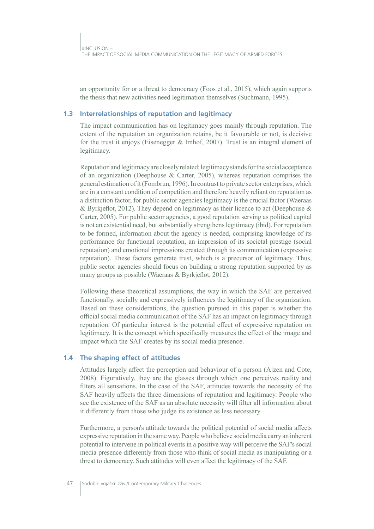an opportunity for or a threat to democracy (Foos et al., 2015), which again supports the thesis that new activities need legitimation themselves (Suchmann, 1995).

### **1.3 Interrelationships of reputation and legitimacy**

The impact communication has on legitimacy goes mainly through reputation. The extent of the reputation an organization retains, be it favourable or not, is decisive for the trust it enjoys (Eisenegger & Imhof, 2007). Trust is an integral element of legitimacy.

Reputation and legitimacy are closely related; legitimacy stands for the social acceptance of an organization (Deephouse & Carter, 2005), whereas reputation comprises the general estimation of it (Fombrun, 1996). In contrast to private sector enterprises, which are in a constant condition of competition and therefore heavily reliant on reputation as a distinction factor, for public sector agencies legitimacy is the crucial factor (Waeraas & Byrkjeflot, 2012). They depend on legitimacy as their licence to act (Deephouse & Carter, 2005). For public sector agencies, a good reputation serving as political capital is not an existential need, but substantially strengthens legitimacy (ibid). For reputation to be formed, information about the agency is needed, comprising knowledge of its performance for functional reputation, an impression of its societal prestige (social reputation) and emotional impressions created through its communication (expressive reputation). These factors generate trust, which is a precursor of legitimacy. Thus, public sector agencies should focus on building a strong reputation supported by as many groups as possible (Waeraas & Byrkjeflot, 2012).

Following these theoretical assumptions, the way in which the SAF are perceived functionally, socially and expressively influences the legitimacy of the organization. Based on these considerations, the question pursued in this paper is whether the official social media communication of the SAF has an impact on legitimacy through reputation. Of particular interest is the potential effect of expressive reputation on legitimacy. It is the concept which specifically measures the effect of the image and impact which the SAF creates by its social media presence.

## **1.4 The shaping effect of attitudes**

Attitudes largely affect the perception and behaviour of a person (Ajzen and Cote, 2008). Figuratively, they are the glasses through which one perceives reality and filters all sensations. In the case of the SAF, attitudes towards the necessity of the SAF heavily affects the three dimensions of reputation and legitimacy. People who see the existence of the SAF as an absolute necessity will filter all information about it differently from those who judge its existence as less necessary.

Furthermore, a person's attitude towards the political potential of social media affects expressive reputation in the same way. People who believe social media carry an inherent potential to intervene in political events in a positive way will perceive the SAF's social media presence differently from those who think of social media as manipulating or a threat to democracy. Such attitudes will even affect the legitimacy of the SAF.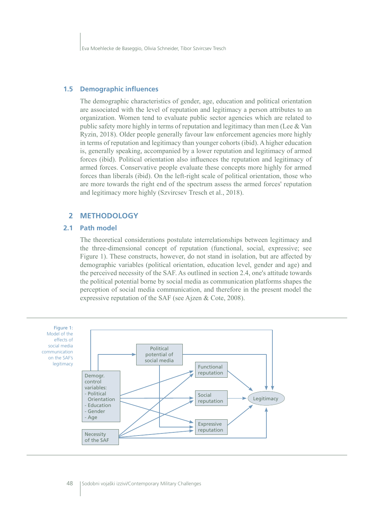#### **1.5 Demographic influences**

The demographic characteristics of gender, age, education and political orientation are associated with the level of reputation and legitimacy a person attributes to an organization. Women tend to evaluate public sector agencies which are related to public safety more highly in terms of reputation and legitimacy than men (Lee & Van Ryzin, 2018). Older people generally favour law enforcement agencies more highly in terms of reputation and legitimacy than younger cohorts (ibid). A higher education is, generally speaking, accompanied by a lower reputation and legitimacy of armed forces (ibid). Political orientation also influences the reputation and legitimacy of armed forces. Conservative people evaluate these concepts more highly for armed forces than liberals (ibid). On the left-right scale of political orientation, those who are more towards the right end of the spectrum assess the armed forces' reputation and legitimacy more highly (Szvircsev Tresch et al., 2018).

#### **2 METHODOLOGY**

#### **2.1 Path model**

The theoretical considerations postulate interrelationships between legitimacy and the three-dimensional concept of reputation (functional, social, expressive; see Figure 1). These constructs, however, do not stand in isolation, but are affected by demographic variables (political orientation, education level, gender and age) and the perceived necessity of the SAF. As outlined in section 2.4, one's attitude towards the political potential borne by social media as communication platforms shapes the perception of social media communication, and therefore in the present model the expressive reputation of the SAF (see Ajzen & Cote, 2008).

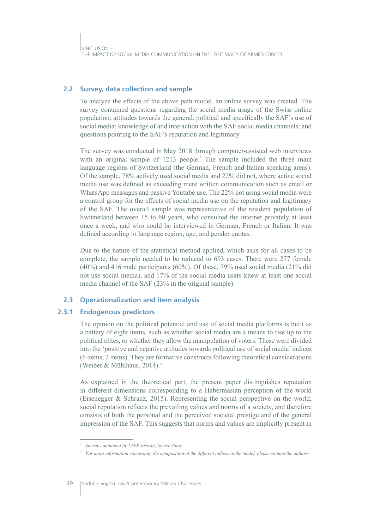## 2.2 Survey, data collection and sample

To analyze the effects of the above path model, an online survey was created. The survey contained questions regarding the social media usage of the Swiss online population; attitudes towards the general, political and specifically the SAF's use of social media; knowledge of and interaction with the SAF social media channels; and questions pointing to the SAF's reputation and legitimacy.

The survey was conducted in May 2018 through computer-assisted web interviews with an original sample of 1213 people.<sup>2</sup> The sample included the three main language regions of Switzerland (the German, French and Italian speaking areas). Of the sample, 78% actively used social media and 22% did not, where active social media use was defined as exceeding mere written communication such as email or WhatsApp messages and passive Youtube use. The 22% not using social media were a control group for the effects of social media use on the reputation and legitimacy of the SAF. The overall sample was representative of the resident population of Switzerland between 15 to 60 years, who consulted the internet privately at least once a week, and who could be interviewed in German, French or Italian. It was defined according to language region, age, and gender quotas.

Due to the nature of the statistical method applied, which asks for all cases to be complete, the sample needed to be reduced to 693 cases. There were 277 female  $(40\%)$  and 416 male participants  $(60\%)$ . Of these, 79% used social media (21% did not use social media), and 17% of the social media users knew at least one social media channel of the SAF (23% in the original sample).

# 2.3 Operationalization and item analysis

#### $2.3.1$ **Endogenous predictors**

The opinion on the political potential and use of social media platforms is built as a battery of eight items, such as whether social media are a means to rise up to the political elites, or whether they allow the manipulation of voters. These were divided into the 'positive and negative attitudes towards political use of social media' indices (6 items; 2 items). They are formative constructs following theoretical considerations (Weiber & Mühlhaus, 2014).<sup>3</sup>

As explained in the theoretical part, the present paper distinguishes reputation in different dimensions corresponding to a Habermasian perception of the world (Eisenegger & Schranz, 2015). Representing the social perspective on the world, social reputation reflects the prevailing values and norms of a society, and therefore consists of both the personal and the perceived societal prestige and of the general impression of the SAF. This suggests that norms and values are implicitly present in

<sup>&</sup>lt;sup>2</sup> Survey conducted by LINK Institut, Switzerland.

 $3$  For more information concerning the composition of the different indices in the model, please contact the authors.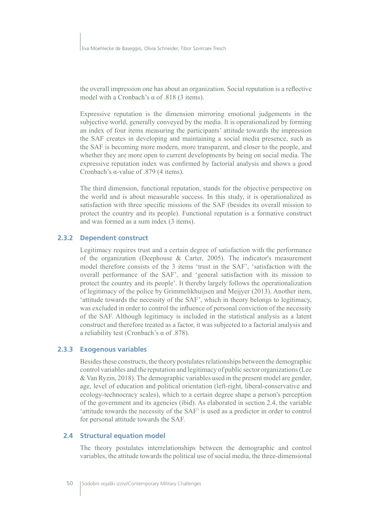Eva Moehlecke de Baseggio, Olivia Schneider, Tibor Szvircsev Tresch

the overall impression one has about an organization. Social reputation is a reflective model with a Cronbach's  $\alpha$  of .818 (3 items).

Expressive reputation is the dimension mirroring emotional judgements in the subjective world, generally conveyed by the media. It is operationalized by forming an index of four items measuring the participants' attitude towards the impression the SAF creates in developing and maintaining a social media presence, such as the SAF is becoming more modern, more transparent, and closer to the people, and whether they are more open to current developments by being on social media. The expressive reputation index was confirmed by factorial analysis and shows a good Cronbach's  $\alpha$ -value of .879 (4 items).

The third dimension, functional reputation, stands for the objective perspective on the world and is about measurable success. In this study, it is operationalized as satisfaction with three specific missions of the SAF (besides its overall mission to protect the country and its people). Functional reputation is a formative construct and was formed as a sum index (3 items).

### 2.3.2 Dependent construct

Legitimacy requires trust and a certain degree of satisfaction with the performance of the organization (Deephouse & Carter, 2005). The indicator's measurement model therefore consists of the 3 items 'trust in the SAF', 'satisfaction with the overall performance of the SAF', and 'general satisfaction with its mission to protect the country and its people'. It thereby largely follows the operationalization of legitimacy of the police by Grimmelikhuijsen and Meijyer (2013). Another item, 'attitude towards the necessity of the SAF', which in theory belongs to legitimacy, was excluded in order to control the influence of personal conviction of the necessity of the SAF. Although legitimacy is included in the statistical analysis as a latent construct and therefore treated as a factor, it was subjected to a factorial analysis and a reliability test (Cronbach's  $\alpha$  of .878).

### 2.3.3 Exogenous variables

Besides these constructs, the theory postulates relationships between the demographic control variables and the reputation and legitimacy of public sector organizations (Lee & Van Ryzin, 2018). The demographic variables used in the present model are gender, age, level of education and political orientation (left-right, liberal-conservative and ecology-technocracy scales), which to a certain degree shape a person's perception of the government and its agencies (ibid). As elaborated in section 2.4, the variable 'attitude towards the necessity of the SAF' is used as a predictor in order to control for personal attitude towards the SAF.

#### 2.4 Structural equation model

The theory postulates interrelationships between the demographic and control variables, the attitude towards the political use of social media, the three-dimensional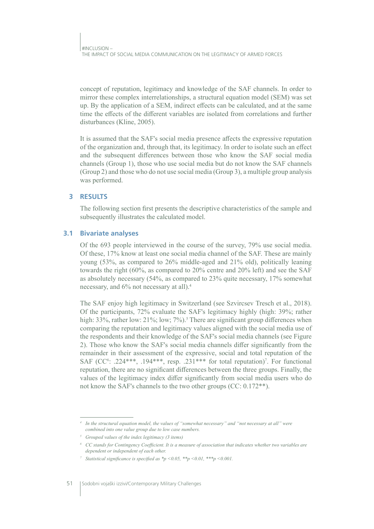concept of reputation, legitimacy and knowledge of the SAF channels. In order to mirror these complex interrelationships, a structural equation model (SEM) was set up. By the application of a SEM, indirect effects can be calculated, and at the same time the effects of the different variables are isolated from correlations and further disturbances (Kline, 2005).

It is assumed that the SAF's social media presence affects the expressive reputation of the organization and, through that, its legitimacy. In order to isolate such an effect and the subsequent differences between those who know the SAF social media channels (Group 1), those who use social media but do not know the SAF channels (Group 2) and those who do not use social media (Group 3), a multiple group analysis was performed.

#### **RESULTS**  $\overline{\mathbf{z}}$

The following section first presents the descriptive characteristics of the sample and subsequently illustrates the calculated model.

#### $3.1$ **Bivariate analyses**

Of the 693 people interviewed in the course of the survey, 79% use social media. Of these, 17% know at least one social media channel of the SAF. These are mainly young (53%, as compared to 26% middle-aged and 21% old), politically leaning towards the right (60%, as compared to 20% centre and 20% left) and see the SAF as absolutely necessary  $(54\%$ , as compared to 23% quite necessary, 17% somewhat necessary, and 6% not necessary at all).<sup>4</sup>

The SAF enjoy high legitimacy in Switzerland (see Szvircsey Tresch et al., 2018). Of the participants, 72% evaluate the SAF's legitimacy highly (high: 39%; rather high: 33%, rather low: 21%; low; 7%).<sup>5</sup> There are significant group differences when comparing the reputation and legitimacy values aligned with the social media use of the respondents and their knowledge of the SAF's social media channels (see Figure 2). Those who know the SAF's social media channels differ significantly from the remainder in their assessment of the expressive, social and total reputation of the SAF (CC<sup>6</sup>: .224\*\*\*, .194\*\*\*, resp. .231\*\*\* for total reputation)<sup>7</sup>. For functional reputation, there are no significant differences between the three groups. Finally, the values of the legitimacy index differ significantly from social media users who do not know the SAF's channels to the two other groups (CC: 0.172<sup>\*\*</sup>).

In the structural equation model, the values of "somewhat necessary" and "not necessary at all" were combined into one value group due to low case numbers.

<sup>&</sup>lt;sup>5</sup> Grouped values of the index legitimacy (3 items)

 $6$  CC stands for Contingency Coefficient. It is a measure of association that indicates whether two variables are dependent or independent of each other.

<sup>&</sup>lt;sup>7</sup> Statistical significance is specified as \*p < 0.05, \*\*p < 0.01, \*\*\*p < 0.001.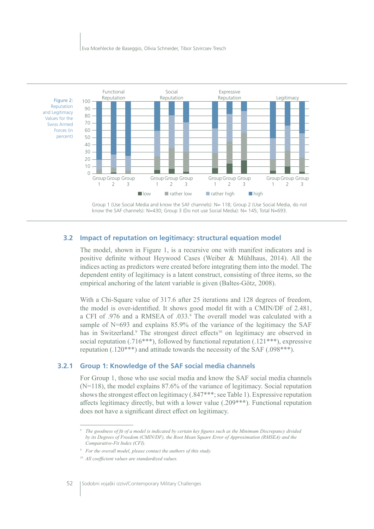

Group 1 (Use Social Media and know the SAF channels): N= 118; Group 2 (Use Social Media, do not know the SAF channels): N=430; Group 3 (Do not use Social Media): N= 145; Total N=693.

#### 3.2 Impact of reputation on legitimacy: structural equation model

The model, shown in Figure 1, is a recursive one with manifest indicators and is positive definite without Heywood Cases (Weiber & Mühlhaus, 2014). All the indices acting as predictors were created before integrating them into the model. The dependent entity of legitimacy is a latent construct, consisting of three items, so the empirical anchoring of the latent variable is given (Baltes-Götz, 2008).

With a Chi-Square value of 317.6 after 25 iterations and 128 degrees of freedom, the model is over-identified. It shows good model fit with a CMIN/DF of 2.481, a CFI of .976 and a RMSEA of .033.8 The overall model was calculated with a sample of N=693 and explains 85.9% of the variance of the legitimacy the SAF has in Switzerland.<sup>9</sup> The strongest direct effects<sup>10</sup> on legitimacy are observed in social reputation (.716\*\*\*), followed by functional reputation (.121\*\*\*), expressive reputation  $(.120***)$  and attitude towards the necessity of the SAF  $(.098***)$ .

### 3.2.1 Group 1: Knowledge of the SAF social media channels

For Group 1, those who use social media and know the SAF social media channels  $(N=118)$ , the model explains 87.6% of the variance of legitimacy. Social reputation shows the strongest effect on legitimacy (.847\*\*\*; see Table 1). Expressive reputation affects legitimacy directly, but with a lower value  $(.209***)$ . Functional reputation does not have a significant direct effect on legitimacy.

<sup>&</sup>lt;sup>8</sup> The goodness of fit of a model is indicated by certain key figures such as the Minimum Discrepancy divided by its Degrees of Freedom (CMIN/DF), the Root Mean Square Error of Approximation (RMSEA) and the Comparative-Fit Index (CFI).

 $9$  For the overall model, please contact the authors of this study.

<sup>&</sup>lt;sup>10</sup> All coefficient values are standardized values.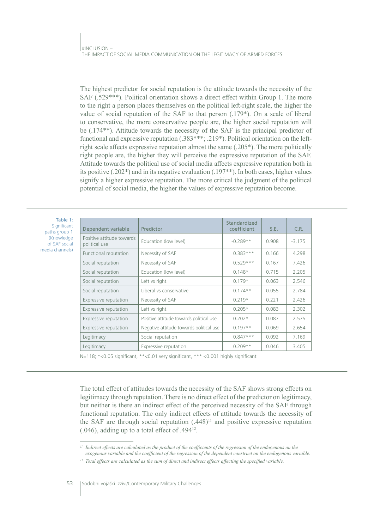The highest predictor for social reputation is the attitude towards the necessity of the SAF (.529\*\*\*). Political orientation shows a direct effect within Group 1. The more to the right a person places themselves on the political left-right scale, the higher the value of social reputation of the SAF to that person (.179<sup>\*</sup>). On a scale of liberal to conservative, the more conservative people are, the higher social reputation will be (.174<sup>\*\*</sup>). Attitude towards the necessity of the SAF is the principal predictor of functional and expressive reputation (.383\*\*\*; .219\*). Political orientation on the leftright scale affects expressive reputation almost the same (.205<sup>\*</sup>). The more politically right people are, the higher they will perceive the expressive reputation of the SAF. Attitude towards the political use of social media affects expressive reputation both in its positive  $(.202*)$  and in its negative evaluation  $(.197**)$ . In both cases, higher values signify a higher expressive reputation. The more critical the judgment of the political potential of social media, the higher the values of expressive reputation become.

| Table 1:<br>Significant<br>paths group 1<br>(Knowledge)<br>of SAF social<br>media channels) | Dependent variable                         | Predictor                               | Standardized<br>coefficient | S.E.  | C.R.     |
|---------------------------------------------------------------------------------------------|--------------------------------------------|-----------------------------------------|-----------------------------|-------|----------|
|                                                                                             | Positive attitude towards<br>political use | Education (low level)                   | $-0.289**$                  | 0.908 | $-3.175$ |
|                                                                                             | Functional reputation                      | Necessity of SAF                        | $0.383***$                  | 0.166 | 4.298    |
|                                                                                             | Social reputation                          | Necessity of SAF                        | $0.529***$                  | 0.167 | 7.426    |
|                                                                                             | Social reputation                          | Education (low level)                   | $0.148*$                    | 0.715 | 2.205    |
|                                                                                             | Social reputation                          | Left vs right                           | $0.179*$                    | 0.063 | 2.546    |
|                                                                                             | Social reputation                          | Liberal vs conservative                 | $0.174**$                   | 0.055 | 2.784    |
|                                                                                             | Expressive reputation                      | Necessity of SAF                        | $0.219*$                    | 0.221 | 2.426    |
|                                                                                             | Expressive reputation                      | Left vs right                           | $0.205*$                    | 0.083 | 2.302    |
|                                                                                             | Expressive reputation                      | Positive attitude towards political use | $0.202*$                    | 0.087 | 2.575    |
|                                                                                             | Expressive reputation                      | Negative attitude towards political use | $0.197**$                   | 0.069 | 2.654    |
|                                                                                             | Legitimacy                                 | Social reputation                       | $0.847***$                  | 0.092 | 7.169    |
|                                                                                             | Legitimacy                                 | Expressive reputation                   | $0.209**$                   | 0.046 | 3.405    |

N=118; \*< 0.05 significant, \*\* < 0.01 very significant, \*\*\* < 0.001 highly significant

The total effect of attitudes towards the necessity of the SAF shows strong effects on legitimacy through reputation. There is no direct effect of the predictor on legitimacy, but neither is there an indirect effect of the perceived necessity of the SAF through functional reputation. The only indirect effects of attitude towards the necessity of the SAF are through social reputation  $(.448)^{11}$  and positive expressive reputation  $(.046)$ , adding up to a total effect of .494 $12$ .

<sup>&</sup>lt;sup>11</sup> Indirect effects are calculated as the product of the coefficients of the regression of the endogenous on the exogenous variable and the coefficient of the regression of the dependent construct on the endogenous variable.

<sup>&</sup>lt;sup>12</sup> Total effects are calculated as the sum of direct and indirect effects affecting the specified variable.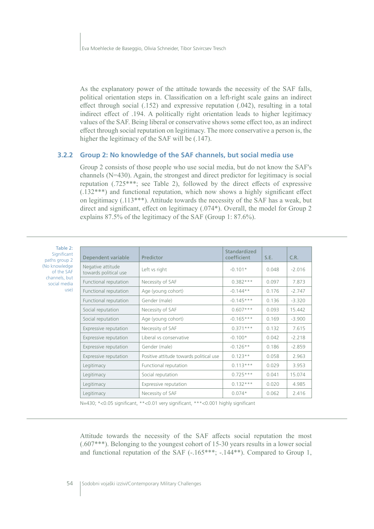As the explanatory power of the attitude towards the necessity of the SAF falls, political orientation steps in. Classification on a left-right scale gains an indirect effect through social  $(.152)$  and expressive reputation  $(.042)$ , resulting in a total indirect effect of .194. A politically right orientation leads to higher legitimacy values of the SAF. Being liberal or conservative shows some effect too, as an indirect effect through social reputation on legitimacy. The more conservative a person is, the higher the legitimacy of the SAF will be (.147).

#### 3.2.2 Group 2: No knowledge of the SAF channels, but social media use

Group 2 consists of those people who use social media, but do not know the SAF's channels (N=430). Again, the strongest and direct predictor for legitimacy is social reputation (.725<sup>\*\*\*</sup>; see Table 2), followed by the direct effects of expressive  $(.132***)$  and functional reputation, which now shows a highly significant effect on legitimacy (.113\*\*\*). Attitude towards the necessity of the SAF has a weak, but direct and significant, effect on legitimacy (.074\*). Overall, the model for Group 2 explains 87.5% of the legitimacy of the SAF (Group 1: 87.6%).

| Table 2:                                                                                              |                                            |                                         |                             |       |          |
|-------------------------------------------------------------------------------------------------------|--------------------------------------------|-----------------------------------------|-----------------------------|-------|----------|
| Significant<br>paths group 2<br>(No knowledge)<br>of the SAF<br>channels, but<br>social media<br>use) | Dependent variable                         | Predictor                               | Standardized<br>coefficient | S.E.  | C.R.     |
|                                                                                                       | Negative attitude<br>towards political use | Left vs right                           | $-0.101*$                   | 0.048 | $-2.016$ |
|                                                                                                       | Functional reputation                      | Necessity of SAF                        | $0.382***$                  | 0.097 | 7.873    |
|                                                                                                       | Functional reputation                      | Age (young cohort)                      | $-0.144**$                  | 0.176 | $-2.747$ |
|                                                                                                       | Functional reputation                      | Gender (male)                           | $-0.145***$                 | 0.136 | $-3.320$ |
|                                                                                                       | Social reputation                          | Necessity of SAF                        | $0.607***$                  | 0.093 | 15.442   |
|                                                                                                       | Social reputation                          | Age (young cohort)                      | $-0.165***$                 | 0.169 | $-3.900$ |
|                                                                                                       | Expressive reputation                      | Necessity of SAF                        | $0.371***$                  | 0.132 | 7.615    |
|                                                                                                       | Expressive reputation                      | Liberal vs conservative                 | $-0.100*$                   | 0.042 | $-2.218$ |
|                                                                                                       | Expressive reputation                      | Gender (male)                           | $-0.126**$                  | 0.186 | $-2.859$ |
|                                                                                                       | Expressive reputation                      | Positive attitude towards political use | $0.123**$                   | 0.058 | 2.963    |
|                                                                                                       | Legitimacy                                 | Functional reputation                   | $0.113***$                  | 0.029 | 3.953    |
|                                                                                                       | Legitimacy                                 | Social reputation                       | $0.725***$                  | 0.041 | 15.074   |
|                                                                                                       | Legitimacy                                 | Expressive reputation                   | $0.132***$                  | 0.020 | 4.985    |
|                                                                                                       | Legitimacy                                 | Necessity of SAF                        | $0.074*$                    | 0.062 | 2.416    |
|                                                                                                       |                                            |                                         |                             |       |          |

N=430; \*< 0.05 significant, \*\* < 0.01 very significant, \*\*\* < 0.001 highly significant

Attitude towards the necessity of the SAF affects social reputation the most  $(.607***)$ . Belonging to the youngest cohort of 15-30 years results in a lower social and functional reputation of the SAF  $(-.165***; -.144**)$ . Compared to Group 1,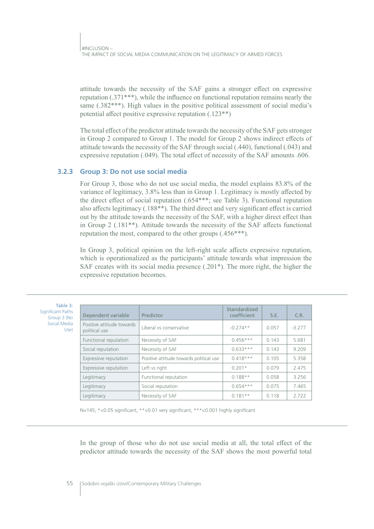attitude towards the necessity of the SAF gains a stronger effect on expressive reputation  $(.371***)$ , while the influence on functional reputation remains nearly the same  $(.382***)$ . High values in the positive political assessment of social media's potential affect positive expressive reputation  $(.123**)$ 

The total effect of the predictor attitude towards the necessity of the SAF gets stronger in Group 2 compared to Group 1. The model for Group 2 shows indirect effects of attitude towards the necessity of the SAF through social (.440), functional (.043) and expressive reputation (.049). The total effect of necessity of the SAF amounts .606.

### 3.2.3 Group 3: Do not use social media

For Group 3, those who do not use social media, the model explains 83.8% of the variance of legitimacy, 3.8% less than in Group 1. Legitimacy is mostly affected by the direct effect of social reputation (.654\*\*\*; see Table 3). Functional reputation also affects legitimacy (.188\*\*). The third direct and very significant effect is carried out by the attitude towards the necessity of the SAF, with a higher direct effect than in Group 2 (.181<sup>\*\*</sup>). Attitude towards the necessity of the SAF affects functional reputation the most, compared to the other groups  $(.456***).$ 

In Group 3, political opinion on the left-right scale affects expressive reputation, which is operationalized as the participants' attitude towards what impression the SAF creates with its social media presence  $(.201*)$ . The more right, the higher the expressive reputation becomes.

| Table 3:<br>Significant Paths<br>Group 3 (No<br>Social Media<br>Use) | Dependent variable                         | Predictor                               | Standardized<br>coefficient | S.E.  | C.R.     |
|----------------------------------------------------------------------|--------------------------------------------|-----------------------------------------|-----------------------------|-------|----------|
|                                                                      | Positive attitude towards<br>political use | Liberal vs conservative                 | $-0.274**$                  | 0.057 | $-3.277$ |
|                                                                      | Functional reputation                      | Necessity of SAF                        | $0.456***$                  | 0.143 | 5.681    |
|                                                                      | Social reputation                          | Necessity of SAF                        | $0.633***$                  | 0.143 | 9.209    |
|                                                                      | Expressive reputation                      | Positive attitude towards political use | $0.418***$                  | 0.105 | 5.358    |
|                                                                      | Expressive reputation                      | Left vs right                           | $0.201*$                    | 0.079 | 2.475    |
|                                                                      | Legitimacy                                 | Functional reputation                   | $0.188**$                   | 0.058 | 3.256    |
|                                                                      | Legitimacy                                 | Social reputation                       | $0.654***$                  | 0.075 | 7.465    |
|                                                                      | Legitimacy                                 | Necessity of SAF                        | $0.181**$                   | 0.118 | 2.722    |

N=145; \*< 0.05 significant, \*\* < 0.01 very significant, \*\*\* < 0.001 highly significant

In the group of those who do not use social media at all, the total effect of the predictor attitude towards the necessity of the SAF shows the most powerful total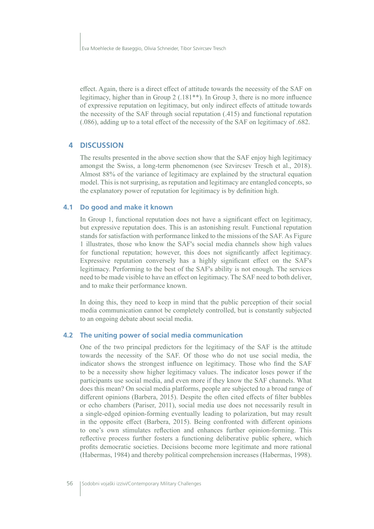effect. Again, there is a direct effect of attitude towards the necessity of the SAF on legitimacy, higher than in Group 2 (.181<sup>\*\*</sup>). In Group 3, there is no more influence of expressive reputation on legitimacy, but only indirect effects of attitude towards the necessity of the SAF through social reputation  $(.415)$  and functional reputation  $0.086$ , adding up to a total effect of the necessity of the SAF on legitimacy of .682.

#### **4 DISCUSSION**

The results presented in the above section show that the SAF enjoy high legitimacy amongst the Swiss, a long-term phenomenon (see Szvircsev Tresch et al., 2018). Almost 88% of the variance of legitimacy are explained by the structural equation model. This is not surprising, as reputation and legitimacy are entangled concepts, so the explanatory power of reputation for legitimacy is by definition high.

#### **4.1 Do good and make it known**

In Group 1, functional reputation does not have a significant effect on legitimacy, but expressive reputation does. This is an astonishing result. Functional reputation stands for satisfaction with performance linked to the missions of the SAF. As Figure 1 illustrates, those who know the SAF's social media channels show high values for functional reputation; however, this does not significantly affect legitimacy. Expressive reputation conversely has a highly significant effect on the SAF's legitimacy. Performing to the best of the SAF's ability is not enough. The services need to be made visible to have an effect on legitimacy. The SAF need to both deliver, and to make their performance known.

In doing this, they need to keep in mind that the public perception of their social media communication cannot be completely controlled, but is constantly subjected to an ongoing debate about social media.

#### **4.2 The uniting power of social media communication**

One of the two principal predictors for the legitimacy of the SAF is the attitude towards the necessity of the SAF. Of those who do not use social media, the indicator shows the strongest influence on legitimacy. Those who find the SAF to be a necessity show higher legitimacy values. The indicator loses power if the participants use social media, and even more if they know the SAF channels. What does this mean? On social media platforms, people are subjected to a broad range of different opinions (Barbera, 2015). Despite the often cited effects of filter bubbles or echo chambers (Pariser, 2011), social media use does not necessarily result in a single-edged opinion-forming eventually leading to polarization, but may result in the opposite effect (Barbera, 2015). Being confronted with different opinions to one's own stimulates reflection and enhances further opinion-forming. This reflective process further fosters a functioning deliberative public sphere, which profits democratic societies. Decisions become more legitimate and more rational (Habermas, 1984) and thereby political comprehension increases (Habermas, 1998).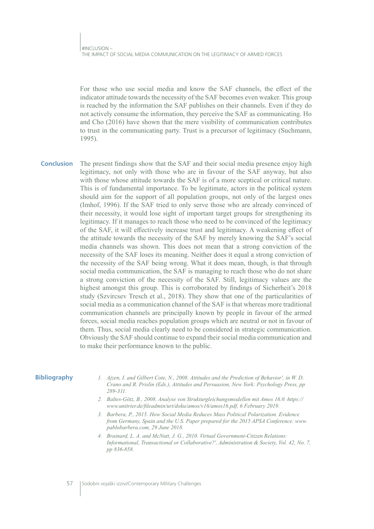For those who use social media and know the SAF channels, the effect of the indicator attitude towards the necessity of the SAF becomes even weaker. This group is reached by the information the SAF publishes on their channels. Even if they do not actively consume the information, they perceive the SAF as communicating. Ho and Cho (2016) have shown that the mere visibility of communication contributes to trust in the communicating party. Trust is a precursor of legitimacy (Suchmann,  $1995$ ).

The present findings show that the SAF and their social media presence enjoy high **Conclusion** legitimacy, not only with those who are in favour of the SAF anyway, but also with those whose attitude towards the SAF is of a more sceptical or critical nature. This is of fundamental importance. To be legitimate, actors in the political system should aim for the support of all population groups, not only of the largest ones (Imhof, 1996). If the SAF tried to only serve those who are already convinced of their necessity, it would lose sight of important target groups for strengthening its legitimacy. If it manages to reach those who need to be convinced of the legitimacy of the SAF, it will effectively increase trust and legitimacy. A weakening effect of the attitude towards the necessity of the SAF by merely knowing the SAF's social media channels was shown. This does not mean that a strong conviction of the necessity of the SAF loses its meaning. Neither does it equal a strong conviction of the necessity of the SAF being wrong. What it does mean, though, is that through social media communication, the SAF is managing to reach those who do not share a strong conviction of the necessity of the SAF. Still, legitimacy values are the highest amongst this group. This is corroborated by findings of Sicherheit's 2018 study (Szvircsey Tresch et al., 2018). They show that one of the particularities of social media as a communication channel of the SAF is that whereas more traditional communication channels are principally known by people in favour of the armed forces, social media reaches population groups which are neutral or not in favour of them. Thus, social media clearly need to be considered in strategic communication. Obviously the SAF should continue to expand their social media communication and to make their performance known to the public.

#### **Bibliography**

- 1. Ajzen, I. and Gilbert Cote, N., 2008. Attitudes and the Prediction of Behavior', in W. D. Crano and R. Prislin (Eds.), Attitudes and Persuasion, New York: Psychology Press, pp 289-311
- 2. Baltes-Götz, B., 2008. Analyse von Strukturgleichungsmodellen mit Amos 16.0. https:// www.unitrier.de/fileadmin/urt/doku/amos/v16/amos16.pdf, 6 February 2019.
- 3. Barbera, P., 2015. How Social Media Reduces Mass Political Polarization. Evidence from Germany, Spain and the U.S. Paper prepared for the 2015 APSA Conference. www. pablobarbera.com, 29 June 2018.
- 4. Brainard, L. A. and McNutt, J. G., 2010. Virtual Government-Citizen Relations: Informational, Transactional or Collaborative?', Administration & Society, Vol. 42, No. 7, pp 836-858.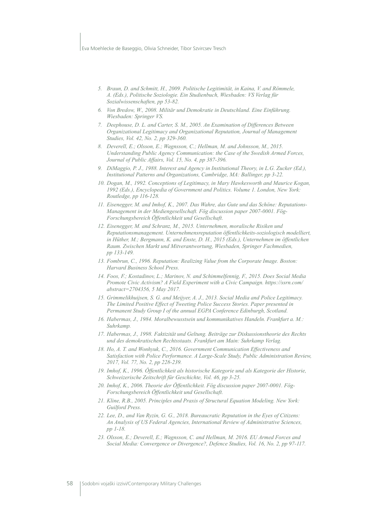#### Eva Moehlecke de Baseggio, Olivia Schneider, Tibor Szvircsev Tresch

- 5. Braun, D. and Schmitt, H., 2009. Politische Legitimität, in Kaina, V. and Römmele, A. (Eds.), Politische Soziologie. Ein Studienbuch, Wiesbaden: VS Verlag für Sozialwissenschaften, pp 53-82.
- 6. Von Bredow, W., 2008. Militär und Demokratie in Deutschland. Eine Einführung. Wiesbaden: Springer VS.
- Deephouse, D. L. and Carter, S. M., 2005. An Examination of Differences Between  $\mathcal{I}$ Organizational Legitimacy and Organizational Reputation, Journal of Management Studies, Vol. 42, No. 2, pp 329-360.
- 8. Deverell, E.; Olsson, E.; Wagnsson, C.; Hellman, M. and Johnsson, M., 2015. Understanding Public Agency Communication: the Case of the Swedish Armed Forces, Journal of Public Affairs, Vol. 15, No. 4, pp 387-396.
- DiMaggio, P. J., 1988. Interest and Agency in Institutional Theory, in L.G. Zucker (Ed.),  $\overline{Q}$ Institutional Patterns and Organizations, Cambridge, MA: Ballinger, pp 3-22.
- 10. Dogan, M., 1992. Conceptions of Legitimacy, in Mary Hawkesworth and Maurice Kogan, 1992 (Eds.), Encyclopedia of Government and Politics. Volume 1. London, New York: Routledge, pp 116-128.
- 11. Eisenegger, M. and Imhof, K., 2007. Das Wahre, das Gute und das Schöne: Reputations-Management in der Mediengesellschaft. Fög discussion paper 2007-0001. Fög-Forschungsbereich Öffentlichkeit und Gesellschaft.
- 12. Eisenegger, M. and Schranz, M., 2015. Unternehmen, moralische Risiken und Reputationsmanagement. Unternehmensreputation öffentlichkeits-soziologisch modelliert. in Hüther, M.; Bergmann, K. and Enste, D. H., 2015 (Eds.), Unternehmen im öffentlichen Raum. Zwischen Markt und Mitverantwortung, Wiesbaden, Springer Fachmedien, pp 133-149.
- 13. Fombrun, C., 1996. Reputation: Realizing Value from the Corporate Image. Boston: Harvard Business School Press.
- 14. Foos, F.; Kostadinov, L.; Marinov, N. and Schimmelfennig, F., 2015. Does Social Media Promote Civic Activism? A Field Experiment with a Civic Campaign. https://ssrn.com/ abstract=2704356, 5 May 2017.
- 15. Grimmelikhuijsen, S. G. and Meijyer, A. J., 2013. Social Media and Police Legitimacy. The Limited Positive Effect of Tweeting Police Success Stories. Paper presented in Permanent Study Group I of the annual EGPA Conference Edinburgh, Scotland.
- 16. Habermas, J., 1984. Moralbewusstsein und kommunikatives Handeln. Frankfurt a. M.: Suhrkamp.
- 17. Habermas, J., 1998. Faktizität und Geltung. Beiträge zur Diskussionstheorie des Rechts und des demokratischen Rechtsstaats. Frankfurt am Main: Suhrkamp Verlag.
- 18. Ho, A. T. and Wonhyuk, C., 2016. Government Communication Effectiveness and Satisfaction with Police Performance. A Large-Scale Study, Public Administration Review, 2017, Vol. 77, No. 2, pp 228-239.
- 19. Imhof, K., 1996. Öffentlichkeit als historische Kategorie und als Kategorie der Historie, Schweizerische Zeitschrift für Geschichte, Vol. 46, pp 3-25.
- 20. Imhof, K., 2006. Theorie der Öffentlichkeit. Fög discussion paper 2007-0001. Fög-Forschungsbereich Öffentlichkeit und Gesellschaft.
- 21. Kline, R.B., 2005. Principles and Praxis of Structural Equation Modeling. New York: Guilford Press.
- 22. Lee, D., and Van Ryzin, G. G., 2018. Bureaucratic Reputation in the Eyes of Citizens: An Analysis of US Federal Agencies, International Review of Administrative Sciences, pp 1-18.
- 23. Olsson, E.; Deverell, E.; Wagnsson, C. and Hellman, M. 2016. EU Armed Forces and Social Media: Convergence or Divergence?, Defence Studies, Vol. 16, No. 2, pp 97-117.